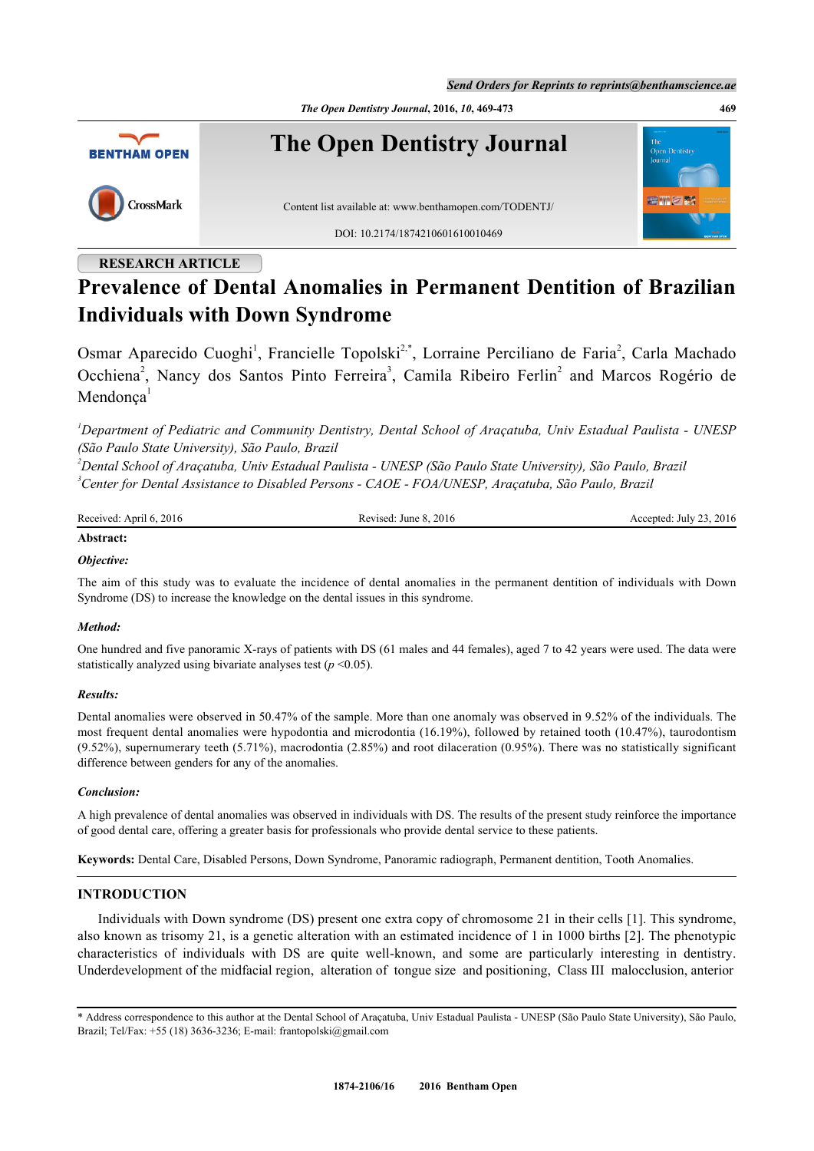*Send Orders for Reprints to reprints@benthamscience.ae*

*The Open Dentistry Journal***, 2016,** *10***, 469-473 469**



# **RESEARCH ARTICLE**

# **Prevalence of Dental Anomalies in Permanent Dentition of Brazilian Individuals with Down Syndrome**

Osmar Aparecido Cuoghi<sup>[1](#page-0-0)</sup>, Francielle Topolski<sup>[2](#page-0-1)[,\\*](#page-0-2)</sup>, Lorraine Perciliano de Faria<sup>2</sup>, Carla Machado Occhiena<sup>[2](#page-0-1)</sup>, Nancy dos Santos Pinto Ferreira<sup>[3](#page-0-3)</sup>, Camila Ribeiro Ferlin<sup>2</sup> and Marcos Rogério de Mendonça $<sup>1</sup>$  $<sup>1</sup>$  $<sup>1</sup>$ </sup>

<span id="page-0-0"></span>*<sup>1</sup>Department of Pediatric and Community Dentistry, Dental School of Araçatuba, Univ Estadual Paulista - UNESP (São Paulo State University), São Paulo, Brazil*

<span id="page-0-3"></span><span id="page-0-1"></span>*<sup>2</sup>Dental School of Araçatuba, Univ Estadual Paulista - UNESP (São Paulo State University), São Paulo, Brazil <sup>3</sup>Center for Dental Assistance to Disabled Persons - CAOE - FOA/UNESP, Araçatuba, São Paulo, Brazil*

| Received: April 6, 2016 | Revised: June 8, 2016 | Accepted: July 23, 2016 |  |
|-------------------------|-----------------------|-------------------------|--|
| Ahetract.               |                       |                         |  |

# **Abstract:**

## *Objective:*

The aim of this study was to evaluate the incidence of dental anomalies in the permanent dentition of individuals with Down Syndrome (DS) to increase the knowledge on the dental issues in this syndrome.

## *Method:*

One hundred and five panoramic X-rays of patients with DS (61 males and 44 females), aged 7 to 42 years were used. The data were statistically analyzed using bivariate analyses test  $(p \le 0.05)$ .

## *Results:*

Dental anomalies were observed in 50.47% of the sample. More than one anomaly was observed in 9.52% of the individuals. The most frequent dental anomalies were hypodontia and microdontia (16.19%), followed by retained tooth (10.47%), taurodontism (9.52%), supernumerary teeth (5.71%), macrodontia (2.85%) and root dilaceration (0.95%). There was no statistically significant difference between genders for any of the anomalies.

## *Conclusion:*

A high prevalence of dental anomalies was observed in individuals with DS. The results of the present study reinforce the importance of good dental care, offering a greater basis for professionals who provide dental service to these patients.

**Keywords:** Dental Care, Disabled Persons, Down Syndrome, Panoramic radiograph, Permanent dentition, Tooth Anomalies.

## **INTRODUCTION**

Individuals with Down syndrome (DS) present one extra copy of chromosome 21 in their cells [[1](#page-3-0)]. This syndrome, also known as trisomy 21, is a genetic alteration with an estimated incidence of 1 in 1000 births [\[2\]](#page-3-1). The phenotypic characteristics of individuals with DS are quite well-known, and some are particularly interesting in dentistry. Underdevelopment of the midfacial region, alteration of tongue size and positioning, Class III malocclusion, anterior

<span id="page-0-2"></span><sup>\*</sup> Address correspondence to this author at the Dental School of Araçatuba, Univ Estadual Paulista - UNESP (São Paulo State University), São Paulo, Brazil; Tel/Fax: +55 (18) 3636-3236; E-mail: [frantopolski@gmail.com](mailto:frantopolski@gmail.com)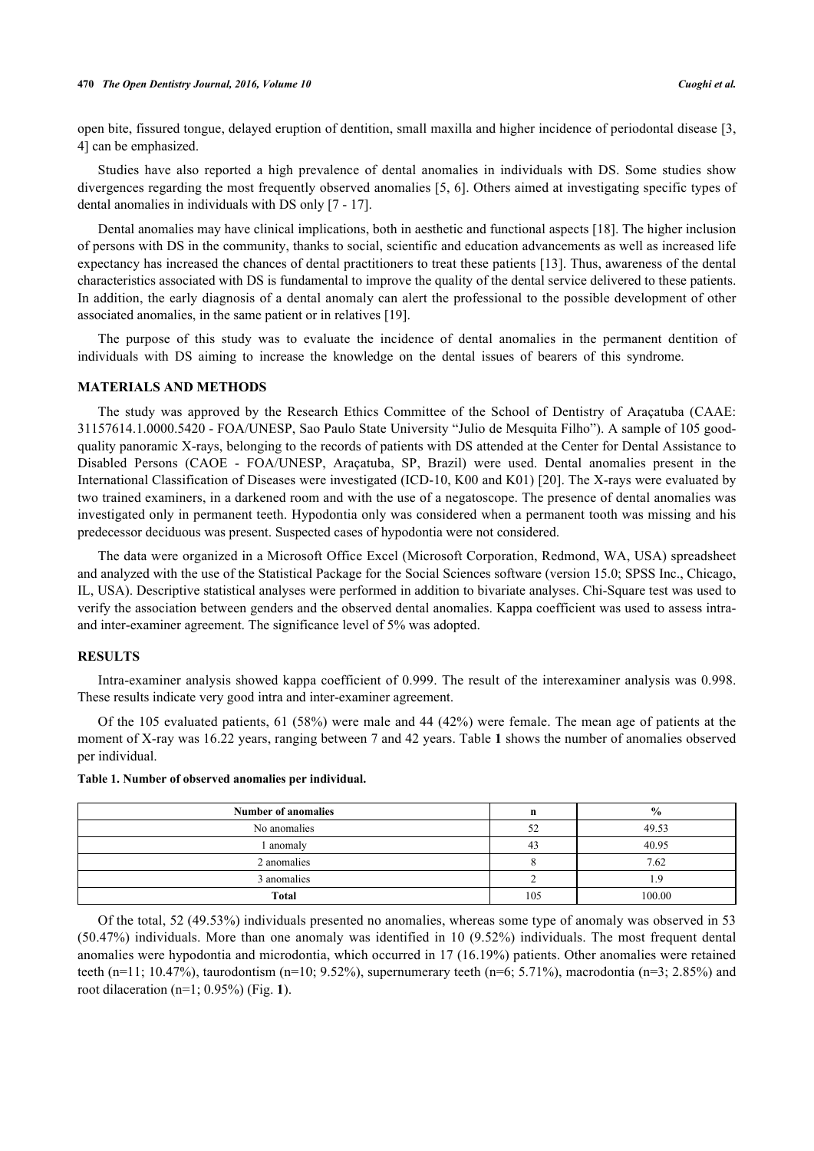#### **470** *The Open Dentistry Journal, 2016, Volume 10 Cuoghi et al.*

open bite, fissured tongue, delayed eruption of dentition, small maxilla and higher incidence of periodontal disease [[3](#page-4-0), [4\]](#page-4-1) can be emphasized.

Studies have also reported a high prevalence of dental anomalies in individuals with DS. Some studies show divergences regarding the most frequently observed anomalies [[5,](#page-4-2) [6](#page-4-3)]. Others aimed at investigating specific types of dental anomalies in individuals with DS only [\[7](#page-4-4) - [17](#page-4-5)].

Dental anomalies may have clinical implications, both in aesthetic and functional aspects [[18\]](#page-4-6). The higher inclusion of persons with DS in the community, thanks to social, scientific and education advancements as well as increased life expectancy has increased the chances of dental practitioners to treat these patients [\[13](#page-4-7)]. Thus, awareness of the dental characteristics associated with DS is fundamental to improve the quality of the dental service delivered to these patients. In addition, the early diagnosis of a dental anomaly can alert the professional to the possible development of other associated anomalies, in the same patient or in relatives [\[19](#page-4-8)].

The purpose of this study was to evaluate the incidence of dental anomalies in the permanent dentition of individuals with DS aiming to increase the knowledge on the dental issues of bearers of this syndrome.

#### **MATERIALS AND METHODS**

The study was approved by the Research Ethics Committee of the School of Dentistry of Araçatuba (CAAE: 31157614.1.0000.5420 - FOA/UNESP, Sao Paulo State University "Julio de Mesquita Filho"). A sample of 105 goodquality panoramic X-rays, belonging to the records of patients with DS attended at the Center for Dental Assistance to Disabled Persons (CAOE - FOA/UNESP, Araçatuba, SP, Brazil) were used. Dental anomalies present in the International Classification of Diseases were investigated (ICD-10, K00 and K01) [[20](#page-4-9)]. The X-rays were evaluated by two trained examiners, in a darkened room and with the use of a negatoscope. The presence of dental anomalies was investigated only in permanent teeth. Hypodontia only was considered when a permanent tooth was missing and his predecessor deciduous was present. Suspected cases of hypodontia were not considered.

The data were organized in a Microsoft Office Excel (Microsoft Corporation, Redmond, WA, USA) spreadsheet and analyzed with the use of the Statistical Package for the Social Sciences software (version 15.0; SPSS Inc., Chicago, IL, USA). Descriptive statistical analyses were performed in addition to bivariate analyses. Chi-Square test was used to verify the association between genders and the observed dental anomalies. Kappa coefficient was used to assess intraand inter-examiner agreement. The significance level of 5% was adopted.

## **RESULTS**

Intra-examiner analysis showed kappa coefficient of 0.999. The result of the interexaminer analysis was 0.998. These results indicate very good intra and inter-examiner agreement.

Of the 105 evaluated patients, 61 (58%) were male and 44 (42%) were female. The mean age of patients at the moment of X-ray was 16.22 years, ranging between 7 and 42 years. Table **[1](#page-1-0)** shows the number of anomalies observed per individual.

| <b>Number of anomalies</b> | n   | $\frac{0}{0}$ |
|----------------------------|-----|---------------|
| No anomalies               |     | 49.53         |
| l anomaly                  | 43  | 40.95         |
| 2 anomalies                |     | 7.62          |
| 3 anomalies                |     | - q           |
| Total                      | 105 | 100.00        |

<span id="page-1-0"></span>**Table 1. Number of observed anomalies per individual.**

<span id="page-1-1"></span>Of the total, 52 (49.53%) individuals presented no anomalies, whereas some type of anomaly was observed in 53 (50.47%) individuals. More than one anomaly was identified in 10 (9.52%) individuals. The most frequent dental anomalies were hypodontia and microdontia, which occurred in 17 (16.19%) patients. Other anomalies were retained teeth (n=11; 10.47%), taurodontism (n=10; 9.52%), supernumerary teeth (n=6; 5.71%), macrodontia (n=3; 2.85%) and root dilaceration (n=1; 0.95%) (Fig. **[1](#page-1-1)**).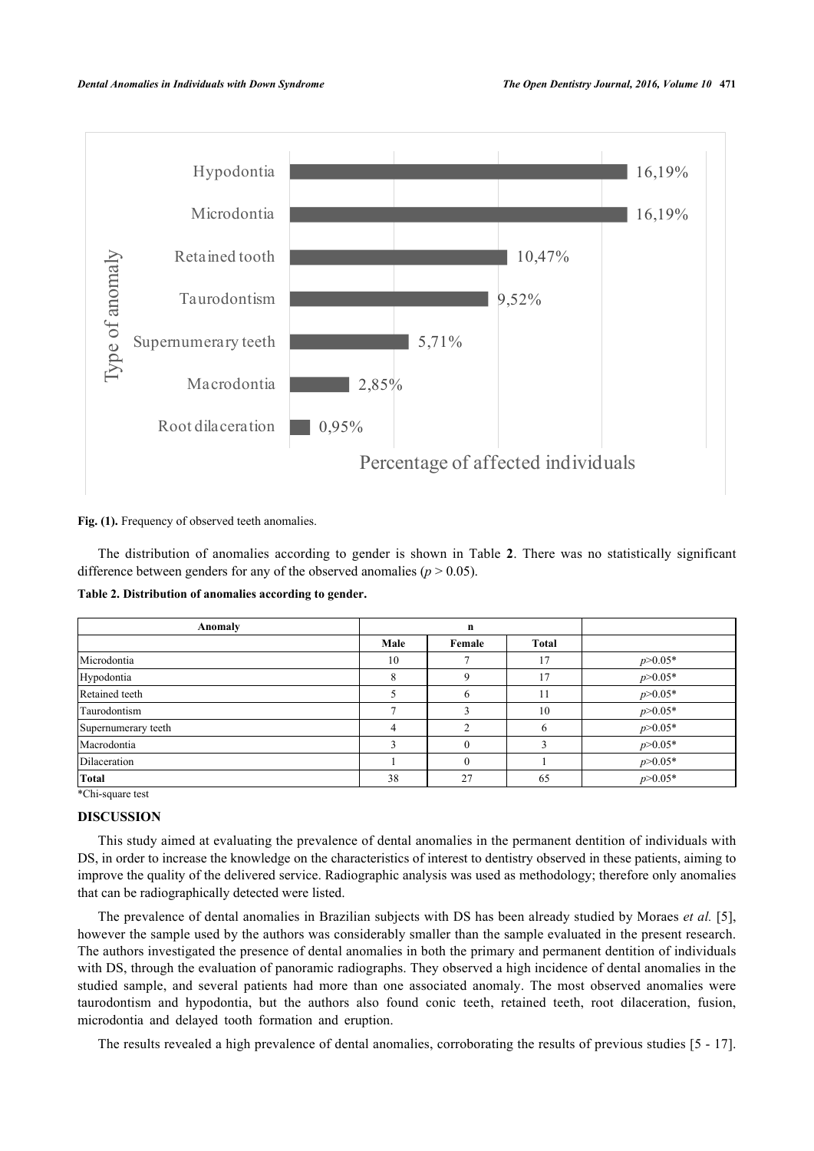

Fig. (1). Frequency of observed teeth anomalies.

The distribution of anomalies according to gender is shown in Table**2**. There was no statistically significant difference between genders for any of the observed anomalies ( $p > 0.05$ ).

<span id="page-2-0"></span>**Table 2. Distribution of anomalies according to gender.**

| Anomaly             | n    |              |              |             |
|---------------------|------|--------------|--------------|-------------|
|                     | Male | Female       | <b>Total</b> |             |
| Microdontia         | 10   |              |              | $p > 0.05*$ |
| Hypodontia          |      | Q            |              | $p > 0.05*$ |
| Retained teeth      |      | <sub>6</sub> | 11           | $p > 0.05*$ |
| Taurodontism        |      |              | 10           | $p > 0.05*$ |
| Supernumerary teeth | 4    |              |              | $p > 0.05*$ |
| Macrodontia         |      | $\Omega$     |              | $p > 0.05*$ |
| Dilaceration        |      | $_{0}$       |              | $p > 0.05*$ |
| Total               | 38   | 27           | 65           | $p > 0.05*$ |

\*Chi-square test

## **DISCUSSION**

This study aimed at evaluating the prevalence of dental anomalies in the permanent dentition of individuals with DS, in order to increase the knowledge on the characteristics of interest to dentistry observed in these patients, aiming to improve the quality of the delivered service. Radiographic analysis was used as methodology; therefore only anomalies that can be radiographically detected were listed.

The prevalence of dental anomalies in Brazilian subjects with DS has been already studied by Moraes *et al.* [[5\]](#page-4-2), however the sample used by the authors was considerably smaller than the sample evaluated in the present research. The authors investigated the presence of dental anomalies in both the primary and permanent dentition of individuals with DS, through the evaluation of panoramic radiographs. They observed a high incidence of dental anomalies in the studied sample, and several patients had more than one associated anomaly. The most observed anomalies were taurodontism and hypodontia, but the authors also found conic teeth, retained teeth, root dilaceration, fusion, microdontia and delayed tooth formation and eruption.

The results revealed a high prevalence of dental anomalies, corroborating the results of previous studies [[5](#page-4-2) - [17\]](#page-4-5).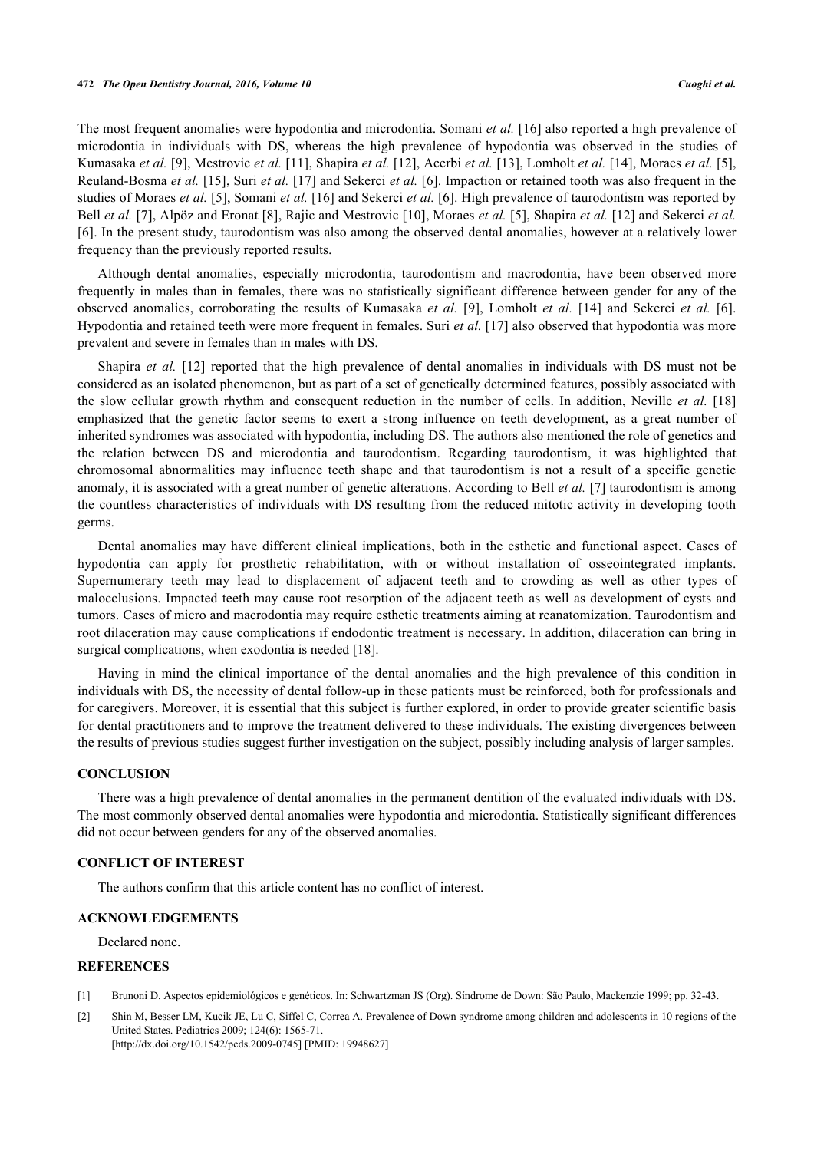The most frequent anomalies were hypodontia and microdontia. Somani *et al.* [[16\]](#page-4-10) also reported a high prevalence of microdontia in individuals with DS, whereas the high prevalence of hypodontia was observed in the studies of Kumasaka *et al.* [[9\]](#page-4-11), Mestrovic *et al.* [\[11\]](#page-4-12), Shapira *et al.* [\[12](#page-4-13)], Acerbi *et al.* [[13\]](#page-4-7), Lomholt *et al.* [\[14\]](#page-4-14), Moraes *et al.* [[5\]](#page-4-2), Reuland-Bosma *et al.* [[15](#page-4-15)], Suri *et al.* [[17\]](#page-4-5) and Sekerci *et al.* [[6](#page-4-3)]. Impaction or retained tooth was also frequent in the studies of Moraes *et al.* [[5\]](#page-4-2), Somani *et al.* [\[16](#page-4-10)] and Sekerci *et al.* [[6](#page-4-3)]. High prevalence of taurodontism was reported by Bell *et al.* [\[7](#page-4-4)], Alpöz and Eronat [\[8](#page-4-16)], Rajic and Mestrovic [[10](#page-4-17)], Moraes *et al.* [[5\]](#page-4-2), Shapira *et al.* [\[12](#page-4-13)] and Sekerci *et al.* [\[6](#page-4-3)]. In the present study, taurodontism was also among the observed dental anomalies, however at a relatively lower frequency than the previously reported results.

Although dental anomalies, especially microdontia, taurodontism and macrodontia, have been observed more frequently in males than in females, there was no statistically significant difference between gender for any of the observed anomalies, corroborating the results of Kumasaka *et al.* [[9\]](#page-4-11), Lomholt *et al.* [[14\]](#page-4-14) and Sekerci *et al.* [[6\]](#page-4-3). Hypodontia and retained teeth were more frequent in females. Suri *et al.* [[17\]](#page-4-5) also observed that hypodontia was more prevalent and severe in females than in males with DS.

Shapira *et al.* [[12\]](#page-4-13) reported that the high prevalence of dental anomalies in individuals with DS must not be considered as an isolated phenomenon, but as part of a set of genetically determined features, possibly associated with the slow cellular growth rhythm and consequent reduction in the number of cells. In addition, Neville *et al.* [[18](#page-4-6)] emphasized that the genetic factor seems to exert a strong influence on teeth development, as a great number of inherited syndromes was associated with hypodontia, including DS. The authors also mentioned the role of genetics and the relation between DS and microdontia and taurodontism. Regarding taurodontism, it was highlighted that chromosomal abnormalities may influence teeth shape and that taurodontism is not a result of a specific genetic anomaly, it is associated with a great number of genetic alterations. According to Bell *et al.* [[7\]](#page-4-4) taurodontism is among the countless characteristics of individuals with DS resulting from the reduced mitotic activity in developing tooth germs.

Dental anomalies may have different clinical implications, both in the esthetic and functional aspect. Cases of hypodontia can apply for prosthetic rehabilitation, with or without installation of osseointegrated implants. Supernumerary teeth may lead to displacement of adjacent teeth and to crowding as well as other types of malocclusions. Impacted teeth may cause root resorption of the adjacent teeth as well as development of cysts and tumors. Cases of micro and macrodontia may require esthetic treatments aiming at reanatomization. Taurodontism and root dilaceration may cause complications if endodontic treatment is necessary. In addition, dilaceration can bring in surgical complications, when exodontia is needed [\[18](#page-4-6)].

Having in mind the clinical importance of the dental anomalies and the high prevalence of this condition in individuals with DS, the necessity of dental follow-up in these patients must be reinforced, both for professionals and for caregivers. Moreover, it is essential that this subject is further explored, in order to provide greater scientific basis for dental practitioners and to improve the treatment delivered to these individuals. The existing divergences between the results of previous studies suggest further investigation on the subject, possibly including analysis of larger samples.

#### **CONCLUSION**

There was a high prevalence of dental anomalies in the permanent dentition of the evaluated individuals with DS. The most commonly observed dental anomalies were hypodontia and microdontia. Statistically significant differences did not occur between genders for any of the observed anomalies.

## **CONFLICT OF INTEREST**

The authors confirm that this article content has no conflict of interest.

## **ACKNOWLEDGEMENTS**

Declared none.

#### **REFERENCES**

- <span id="page-3-0"></span>[1] Brunoni D. Aspectos epidemiológicos e genéticos. In: Schwartzman JS (Org). Síndrome de Down: São Paulo, Mackenzie 1999; pp. 32-43.
- <span id="page-3-1"></span>[2] Shin M, Besser LM, Kucik JE, Lu C, Siffel C, Correa A. Prevalence of Down syndrome among children and adolescents in 10 regions of the United States. Pediatrics 2009; 124(6): 1565-71. [\[http://dx.doi.org/10.1542/peds.2009-0745](http://dx.doi.org/10.1542/peds.2009-0745)] [PMID: [19948627\]](http://www.ncbi.nlm.nih.gov/pubmed/19948627)